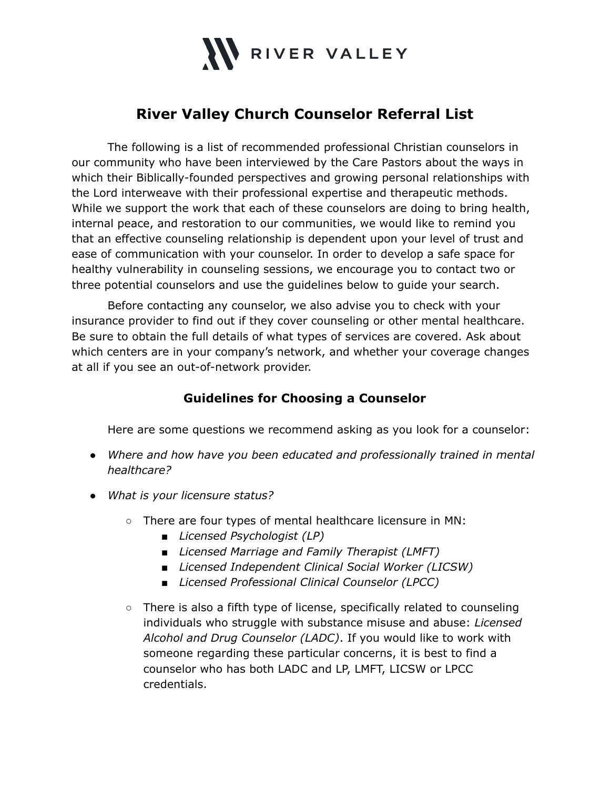

# **River Valley Church Counselor Referral List**

The following is a list of recommended professional Christian counselors in our community who have been interviewed by the Care Pastors about the ways in which their Biblically-founded perspectives and growing personal relationships with the Lord interweave with their professional expertise and therapeutic methods. While we support the work that each of these counselors are doing to bring health, internal peace, and restoration to our communities, we would like to remind you that an effective counseling relationship is dependent upon your level of trust and ease of communication with your counselor. In order to develop a safe space for healthy vulnerability in counseling sessions, we encourage you to contact two or three potential counselors and use the guidelines below to guide your search.

Before contacting any counselor, we also advise you to check with your insurance provider to find out if they cover counseling or other mental healthcare. Be sure to obtain the full details of what types of services are covered. Ask about which centers are in your company's network, and whether your coverage changes at all if you see an out-of-network provider.

## **Guidelines for Choosing a Counselor**

Here are some questions we recommend asking as you look for a counselor:

- *● Where and how have you been educated and professionally trained in mental healthcare?*
- *● What is your licensure status?*
	- There are four types of mental healthcare licensure in MN:
		- *Licensed Psychologist (LP)*
		- *Licensed Marriage and Family Therapist (LMFT)*
		- *Licensed Independent Clinical Social Worker (LICSW)*
		- *Licensed Professional Clinical Counselor (LPCC)*
	- *○* There is also a fifth type of license, specifically related to counseling individuals who struggle with substance misuse and abuse: *Licensed Alcohol and Drug Counselor (LADC)*. If you would like to work with someone regarding these particular concerns, it is best to find a counselor who has both LADC and LP, LMFT, LICSW or LPCC credentials.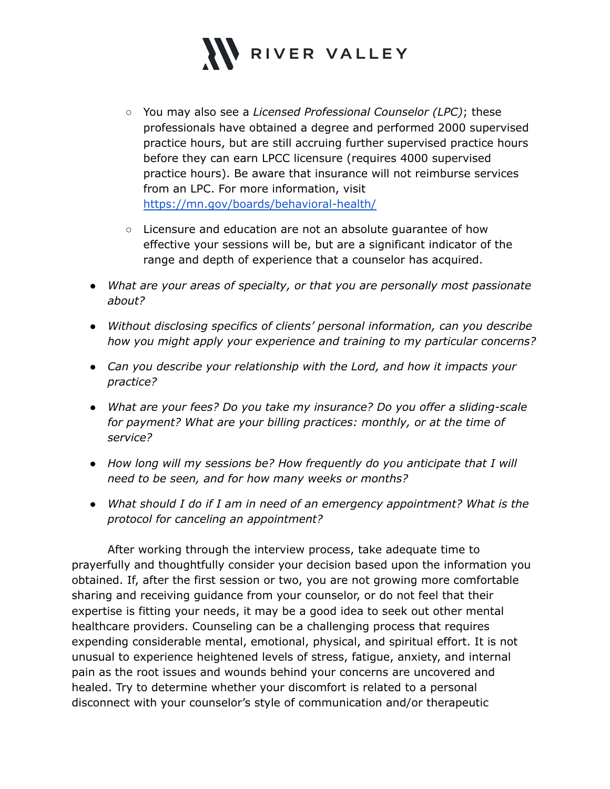

- *○* You may also see a *Licensed Professional Counselor (LPC)*; these professionals have obtained a degree and performed 2000 supervised practice hours, but are still accruing further supervised practice hours before they can earn LPCC licensure (requires 4000 supervised practice hours). Be aware that insurance will not reimburse services from an LPC. For more information, visit <https://mn.gov/boards/behavioral-health/>
- *○* Licensure and education are not an absolute guarantee of how effective your sessions will be, but are a significant indicator of the range and depth of experience that a counselor has acquired.
- *● What are your areas of specialty, or that you are personally most passionate about?*
- *● Without disclosing specifics of clients' personal information, can you describe how you might apply your experience and training to my particular concerns?*
- *● Can you describe your relationship with the Lord, and how it impacts your practice?*
- *● What are your fees? Do you take my insurance? Do you offer a sliding-scale for payment? What are your billing practices: monthly, or at the time of service?*
- *● How long will my sessions be? How frequently do you anticipate that I will need to be seen, and for how many weeks or months?*
- *● What should I do if I am in need of an emergency appointment? What is the protocol for canceling an appointment?*

After working through the interview process, take adequate time to prayerfully and thoughtfully consider your decision based upon the information you obtained. If, after the first session or two, you are not growing more comfortable sharing and receiving guidance from your counselor, or do not feel that their expertise is fitting your needs, it may be a good idea to seek out other mental healthcare providers. Counseling can be a challenging process that requires expending considerable mental, emotional, physical, and spiritual effort. It is not unusual to experience heightened levels of stress, fatigue, anxiety, and internal pain as the root issues and wounds behind your concerns are uncovered and healed. Try to determine whether your discomfort is related to a personal disconnect with your counselor's style of communication and/or therapeutic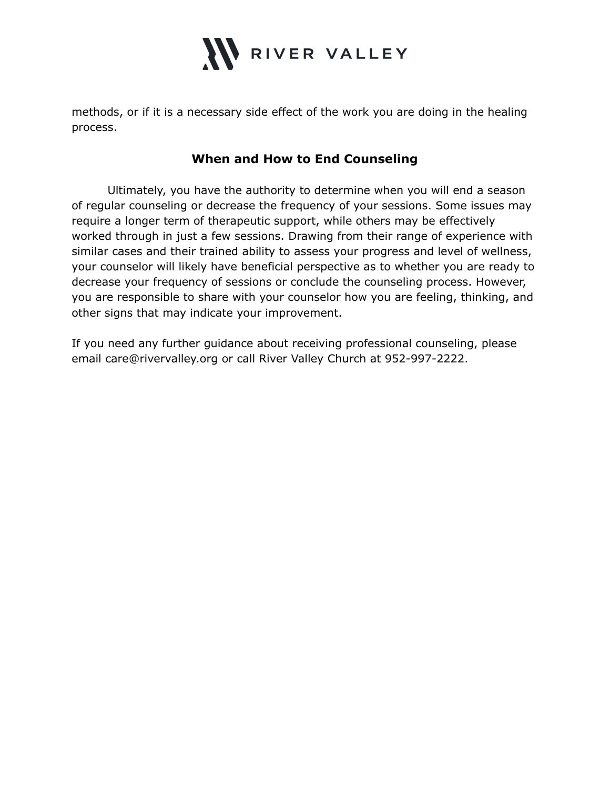

methods, or if it is a necessary side effect of the work you are doing in the healing process.

## **When and How to End Counseling**

Ultimately, you have the authority to determine when you will end a season of regular counseling or decrease the frequency of your sessions. Some issues may require a longer term of therapeutic support, while others may be effectively worked through in just a few sessions. Drawing from their range of experience with similar cases and their trained ability to assess your progress and level of wellness, your counselor will likely have beneficial perspective as to whether you are ready to decrease your frequency of sessions or conclude the counseling process. However, you are responsible to share with your counselor how you are feeling, thinking, and other signs that may indicate your improvement.

If you need any further guidance about receiving professional counseling, please email care@rivervalley.org or call River Valley Church at 952-997-2222.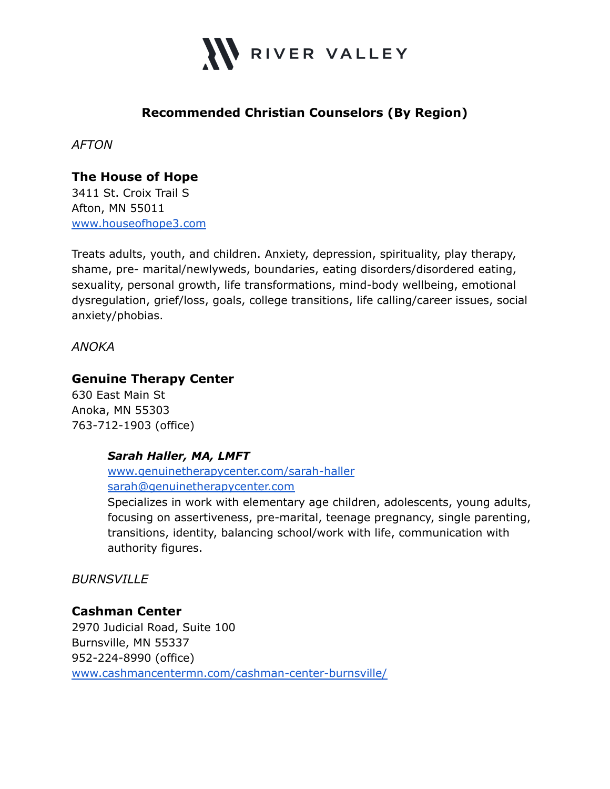

# **Recommended Christian Counselors (By Region)**

*AFTON*

# **The House of Hope**

3411 St. Croix Trail S Afton, MN 55011 [www.houseofhope3.com](http://www.houseofhope3.com)

Treats adults, youth, and children. Anxiety, depression, spirituality, play therapy, shame, pre- marital/newlyweds, boundaries, eating disorders/disordered eating, sexuality, personal growth, life transformations, mind-body wellbeing, emotional dysregulation, grief/loss, goals, college transitions, life calling/career issues, social anxiety/phobias.

*ANOKA*

## **Genuine Therapy Center**

630 East Main St Anoka, MN 55303 763-712-1903 (office)

## *Sarah Haller, MA, LMFT*

[www.genuinetherapycenter.com/sarah-haller](http://www.genuinetherapycenter.com/sarah-haller) [sarah@genuinetherapycenter.com](mailto:sarah@genuinetherapycenter.com)

Specializes in work with elementary age children, adolescents, young adults, focusing on assertiveness, pre-marital, teenage pregnancy, single parenting, transitions, identity, balancing school/work with life, communication with authority figures.

*BURNSVILLE*

#### **Cashman Center**

2970 Judicial Road, Suite 100 Burnsville, MN 55337 952-224-8990 (office) [www.cashmancentermn.com/cashman-center-burnsville/](http://www.cashmancentermn.com/cashman-center-burnsville/)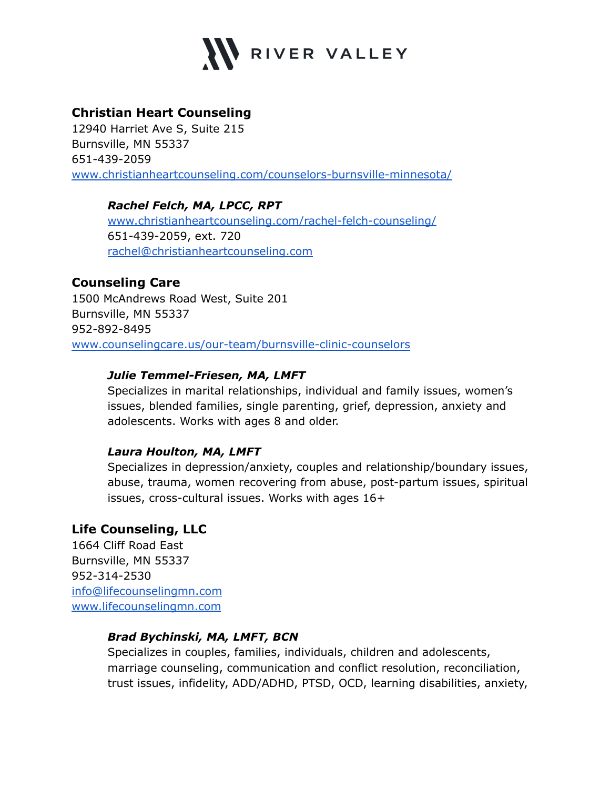

## **Christian Heart Counseling**

12940 Harriet Ave S, Suite 215 Burnsville, MN 55337 651-439-2059 [www.christianheartcounseling.com/counselors-burnsville-minnesota/](http://www.christianheartcounseling.com/counselors-burnsville-minnesota/)

## *Rachel Felch, MA, LPCC, RPT*

[www.christianheartcounseling.com/rachel-felch-counseling/](http://www.christianheartcounseling.com/rachel-felch-counseling/) 651-439-2059, ext. 720 [rachel@christianheartcounseling.com](mailto:rachel@christianheartcounseling.com)

## **Counseling Care**

1500 McAndrews Road West, Suite 201 Burnsville, MN 55337 952-892-8495 [www.counselingcare.us/our-team/burnsville-clinic-counselors](http://www.counselingcare.us/our-team/burnsville-clinic-counselors)

## *Julie Temmel-Friesen, MA, LMFT*

Specializes in marital relationships, individual and family issues, women's issues, blended families, single parenting, grief, depression, anxiety and adolescents. Works with ages 8 and older.

## *Laura Houlton, MA, LMFT*

Specializes in depression/anxiety, couples and relationship/boundary issues, abuse, trauma, women recovering from abuse, post-partum issues, spiritual issues, cross-cultural issues. Works with ages 16+

## **Life Counseling, LLC**

1664 Cliff Road East Burnsville, MN 55337 952-314-2530 [info@lifecounselingmn.com](mailto:info@lifecounselingmn.com) [www.lifecounselingmn.com](http://www.lifecounselingmn.com)

#### *Brad Bychinski, MA, LMFT, BCN*

Specializes in couples, families, individuals, children and adolescents, marriage counseling, communication and conflict resolution, reconciliation, trust issues, infidelity, ADD/ADHD, PTSD, OCD, learning disabilities, anxiety,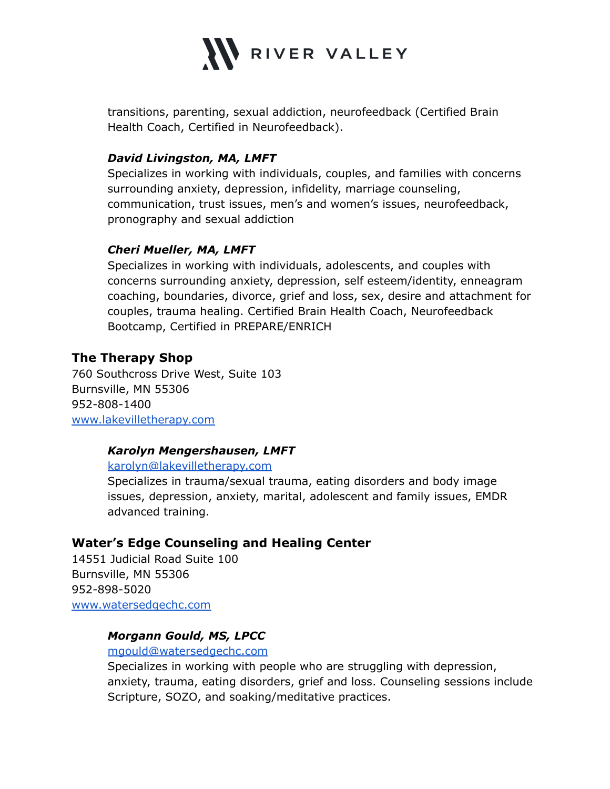

transitions, parenting, sexual addiction, neurofeedback (Certified Brain Health Coach, Certified in Neurofeedback).

#### *David Livingston, MA, LMFT*

Specializes in working with individuals, couples, and families with concerns surrounding anxiety, depression, infidelity, marriage counseling, communication, trust issues, men's and women's issues, neurofeedback, pronography and sexual addiction

#### *Cheri Mueller, MA, LMFT*

Specializes in working with individuals, adolescents, and couples with concerns surrounding anxiety, depression, self esteem/identity, enneagram coaching, boundaries, divorce, grief and loss, sex, desire and attachment for couples, trauma healing. Certified Brain Health Coach, Neurofeedback Bootcamp, Certified in PREPARE/ENRICH

## **The Therapy Shop**

760 Southcross Drive West, Suite 103 Burnsville, MN 55306 952-808-1400 [www.lakevilletherapy.com](http://www.lakevilletherapy.com)

#### *Karolyn Mengershausen, LMFT*

#### [karolyn@lakevilletherapy.com](mailto:karolyn@lakevilletherapy.com)

Specializes in trauma/sexual trauma, eating disorders and body image issues, depression, anxiety, marital, adolescent and family issues, EMDR advanced training.

## **Water's Edge Counseling and Healing Center**

14551 Judicial Road Suite 100 Burnsville, MN 55306 952-898-5020 [www.watersedgechc.com](http://www.watersedgechc.com)

## *Morgann Gould, MS, LPCC*

#### [mgould@watersedgechc.com](mailto:mgould@watersedgechc.com)

Specializes in working with people who are struggling with depression, anxiety, trauma, eating disorders, grief and loss. Counseling sessions include Scripture, SOZO, and soaking/meditative practices.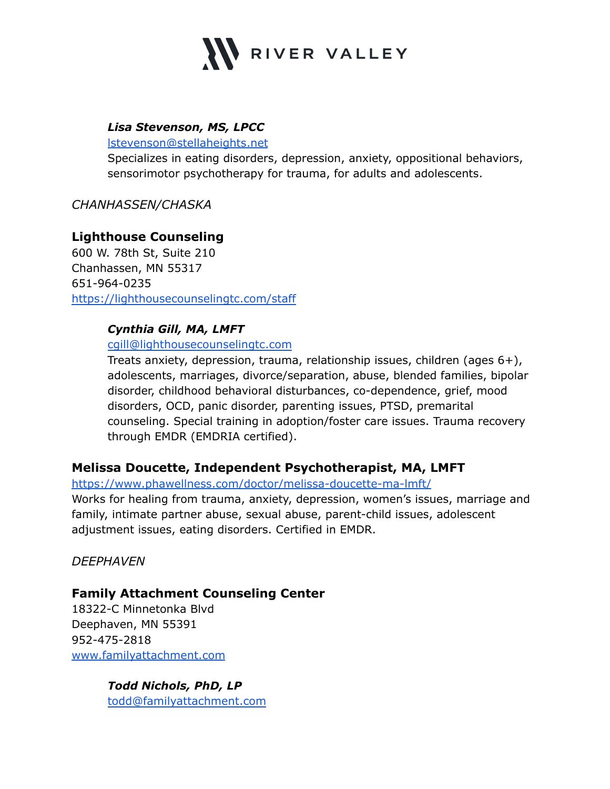

## *Lisa Stevenson, MS, LPCC*

[lstevenson@stellaheights.net](mailto:lstevenson@stellaheights.net)

Specializes in eating disorders, depression, anxiety, oppositional behaviors, sensorimotor psychotherapy for trauma, for adults and adolescents.

## *CHANHASSEN/CHASKA*

## **Lighthouse Counseling**

600 W. 78th St, Suite 210 Chanhassen, MN 55317 651-964-0235 <https://lighthousecounselingtc.com/staff>

#### *Cynthia Gill, MA, LMFT*

#### [cgill@lighthousecounselingtc.com](mailto:cgill@lighthousecounselingtc.com)

Treats anxiety, depression, trauma, relationship issues, children (ages 6+), adolescents, marriages, divorce/separation, abuse, blended families, bipolar disorder, childhood behavioral disturbances, co-dependence, grief, mood disorders, OCD, panic disorder, parenting issues, PTSD, premarital counseling. Special training in adoption/foster care issues. Trauma recovery through EMDR (EMDRIA certified).

## **Melissa Doucette, Independent Psychotherapist, MA, LMFT**

#### <https://www.phawellness.com/doctor/melissa-doucette-ma-lmft/>

Works for healing from trauma, anxiety, depression, women's issues, marriage and family, intimate partner abuse, sexual abuse, parent-child issues, adolescent adjustment issues, eating disorders. Certified in EMDR.

*DEEPHAVEN*

## **Family Attachment Counseling Center**

18322-C Minnetonka Blvd Deephaven, MN 55391 952-475-2818 [www.familyattachment.com](http://www.familyattachment.com)

> *Todd Nichols, PhD, LP* [todd@familyattachment.com](mailto:todd@familyattachment.com)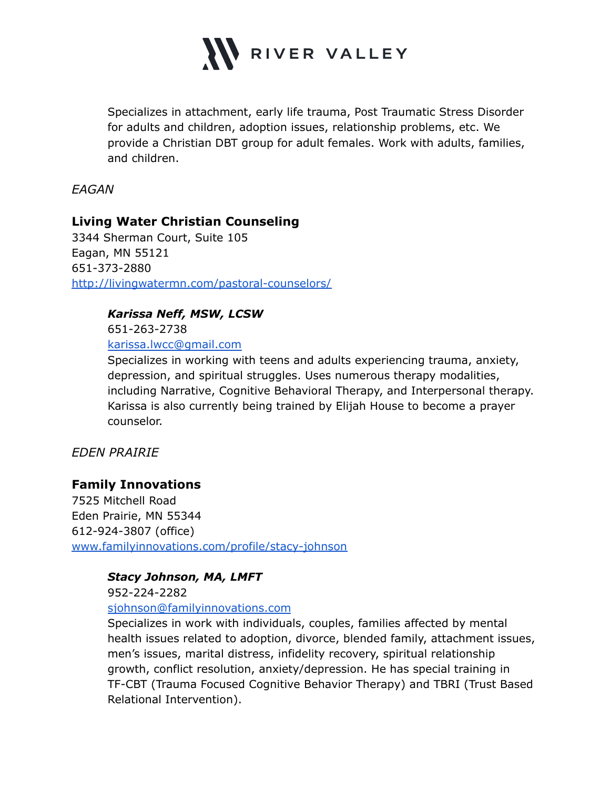

Specializes in attachment, early life trauma, Post Traumatic Stress Disorder for adults and children, adoption issues, relationship problems, etc. We provide a Christian DBT group for adult females. Work with adults, families, and children.

*EAGAN*

## **Living Water Christian Counseling**

3344 Sherman Court, Suite 105 Eagan, MN 55121 651-373-2880 <http://livingwatermn.com/pastoral-counselors/>

#### *Karissa Neff, MSW, LCSW*

651-263-2738

[karissa.lwcc@gmail.com](mailto:karissa.lwcc@gmail.com)

Specializes in working with teens and adults experiencing trauma, anxiety, depression, and spiritual struggles. Uses numerous therapy modalities, including Narrative, Cognitive Behavioral Therapy, and Interpersonal therapy. Karissa is also currently being trained by Elijah House to become a prayer counselor.

## *EDEN PRAIRIE*

## **Family Innovations**

7525 Mitchell Road Eden Prairie, MN 55344 612-924-3807 (office) [www.familyinnovations.com/profile/stacy-johnson](http://www.familyinnovations.com/profile/stacy-johnson)

#### *Stacy Johnson, MA, LMFT*

952-224-2282

#### [sjohnson@familyinnovations.com](mailto:sjohnson@familyinnovations.com)

Specializes in work with individuals, couples, families affected by mental health issues related to adoption, divorce, blended family, attachment issues, men's issues, marital distress, infidelity recovery, spiritual relationship growth, conflict resolution, anxiety/depression. He has special training in TF-CBT (Trauma Focused Cognitive Behavior Therapy) and TBRI (Trust Based Relational Intervention).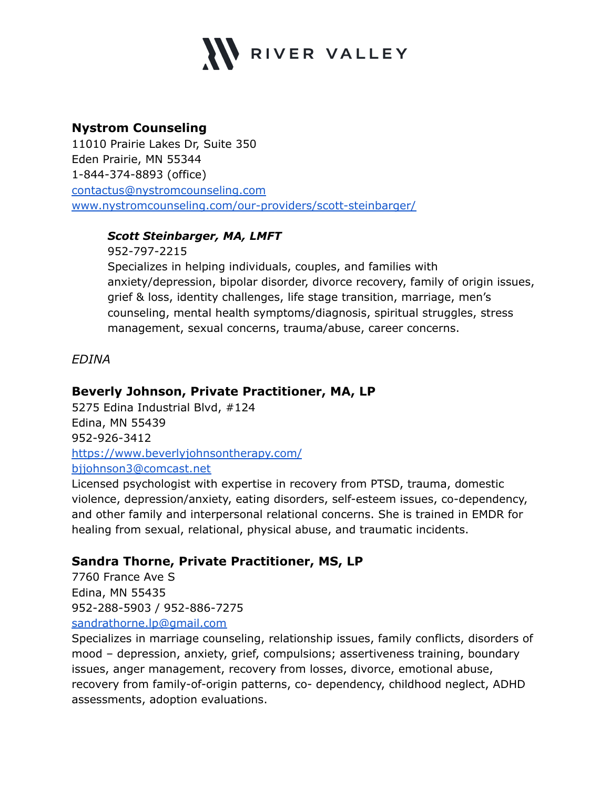

## **Nystrom Counseling**

11010 Prairie Lakes Dr, Suite 350 Eden Prairie, MN 55344 1-844-374-8893 (office) [contactus@nystromcounseling.com](mailto:contactus@nystromcounseling.com) [www.nystromcounseling.com/our-providers/scott-steinbarger/](http://www.nystromcounseling.com/our-providers/scott-steinbarger/)

## *Scott Steinbarger, MA, LMFT*

952-797-2215 Specializes in helping individuals, couples, and families with anxiety/depression, bipolar disorder, divorce recovery, family of origin issues, grief & loss, identity challenges, life stage transition, marriage, men's counseling, mental health symptoms/diagnosis, spiritual struggles, stress management, sexual concerns, trauma/abuse, career concerns.

*EDINA*

## **Beverly Johnson, Private Practitioner, MA, LP**

5275 Edina Industrial Blvd, #124 Edina, MN 55439 952-926-3412 <https://www.beverlyjohnsontherapy.com/> [bjjohnson3@comcast.net](mailto:bjjohnson3@comcast.net)

Licensed psychologist with expertise in recovery from PTSD, trauma, domestic violence, depression/anxiety, eating disorders, self-esteem issues, co-dependency, and other family and interpersonal relational concerns. She is trained in EMDR for healing from sexual, relational, physical abuse, and traumatic incidents.

## **Sandra Thorne, Private Practitioner, MS, LP**

7760 France Ave S Edina, MN 55435 952-288-5903 / 952-886-7275 [sandrathorne.lp@gmail.com](mailto:sandrathorne.lp@gmail.com)

Specializes in marriage counseling, relationship issues, family conflicts, disorders of mood – depression, anxiety, grief, compulsions; assertiveness training, boundary issues, anger management, recovery from losses, divorce, emotional abuse, recovery from family-of-origin patterns, co- dependency, childhood neglect, ADHD assessments, adoption evaluations.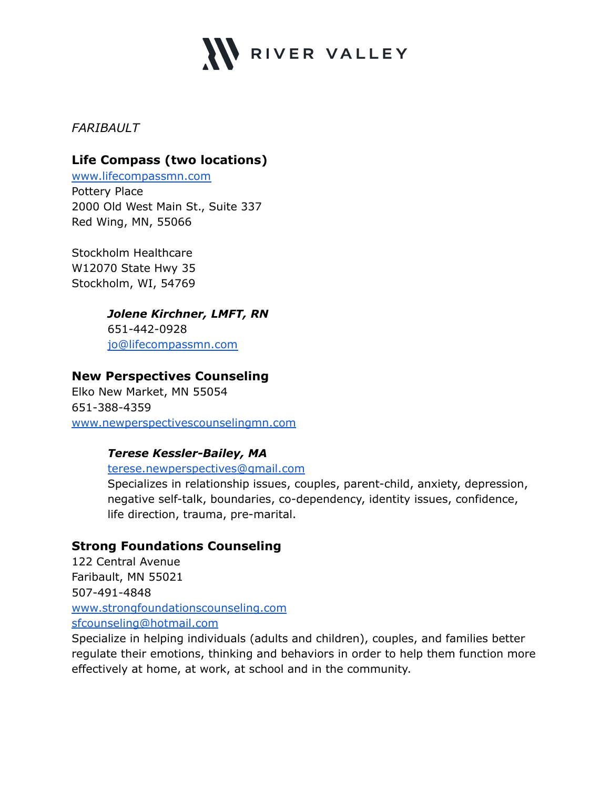

*FARIBAULT*

# **Life Compass (two locations)**

[www.lifecompassmn.com](http://www.lifecompassmn.com) Pottery Place 2000 Old West Main St., Suite 337 Red Wing, MN, 55066

Stockholm Healthcare W12070 State Hwy 35 Stockholm, WI, 54769

## *Jolene Kirchner, LMFT, RN*

651-442-0928 [jo@lifecompassmn.com](mailto:jo@lifecompassmn.com)

## **New Perspectives Counseling**

Elko New Market, MN 55054 651-388-4359 [www.newperspectivescounselingmn.com](http://www.newperspectivescounselingmn.com)

## *Terese Kessler-Bailey, MA*

[terese.newperspectives@gmail.com](mailto:terese.newperspectives@gmail.com)

Specializes in relationship issues, couples, parent-child, anxiety, depression, negative self-talk, boundaries, co-dependency, identity issues, confidence, life direction, trauma, pre-marital.

## **Strong Foundations Counseling**

122 Central Avenue Faribault, MN 55021 507-491-4848 [www.strongfoundationscounseling.com](http://www.strongfoundationscounseling.com) [sfcounseling@hotmail.com](mailto:sfcounseling@hotmail.com)

Specialize in helping individuals (adults and children), couples, and families better regulate their emotions, thinking and behaviors in order to help them function more effectively at home, at work, at school and in the community.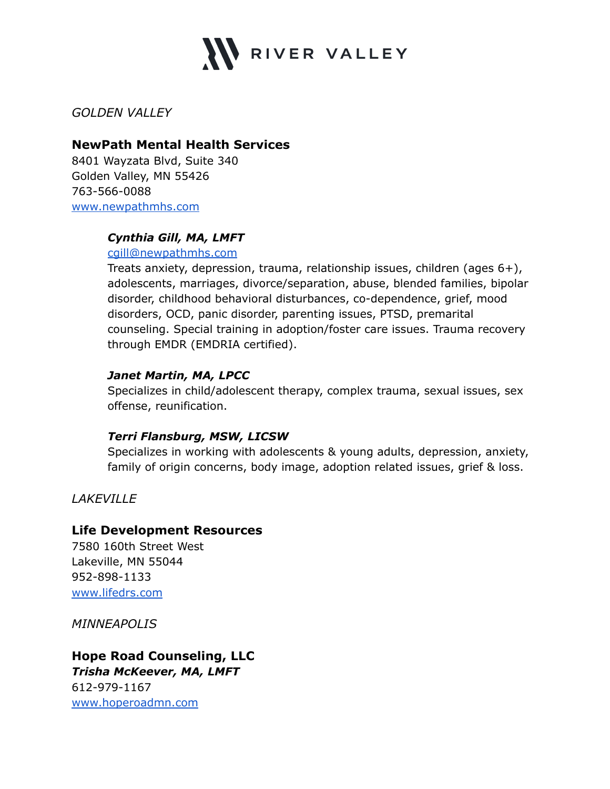

*GOLDEN VALLEY*

#### **NewPath Mental Health Services**

8401 Wayzata Blvd, Suite 340 Golden Valley, MN 55426 763-566-0088 [www.newpathmhs.com](http://www.newpathmhs.com)

## *Cynthia Gill, MA, LMFT*

[cgill@newpathmhs.com](mailto:cgill@newpathmhs.com)

Treats anxiety, depression, trauma, relationship issues, children (ages 6+), adolescents, marriages, divorce/separation, abuse, blended families, bipolar disorder, childhood behavioral disturbances, co-dependence, grief, mood disorders, OCD, panic disorder, parenting issues, PTSD, premarital counseling. Special training in adoption/foster care issues. Trauma recovery through EMDR (EMDRIA certified).

## *Janet Martin, MA, LPCC*

Specializes in child/adolescent therapy, complex trauma, sexual issues, sex offense, reunification.

## *Terri Flansburg, MSW, LICSW*

Specializes in working with adolescents & young adults, depression, anxiety, family of origin concerns, body image, adoption related issues, grief & loss.

*LAKEVILLE*

## **Life Development Resources**

7580 160th Street West Lakeville, MN 55044 952-898-1133 [www.lifedrs.com](http://www.lifedrs.com)

*MINNEAPOLIS*

## **Hope Road Counseling, LLC** *Trisha McKeever, MA, LMFT* 612-979-1167 [www.hoperoadmn.com](http://www.hoperoadmn.com)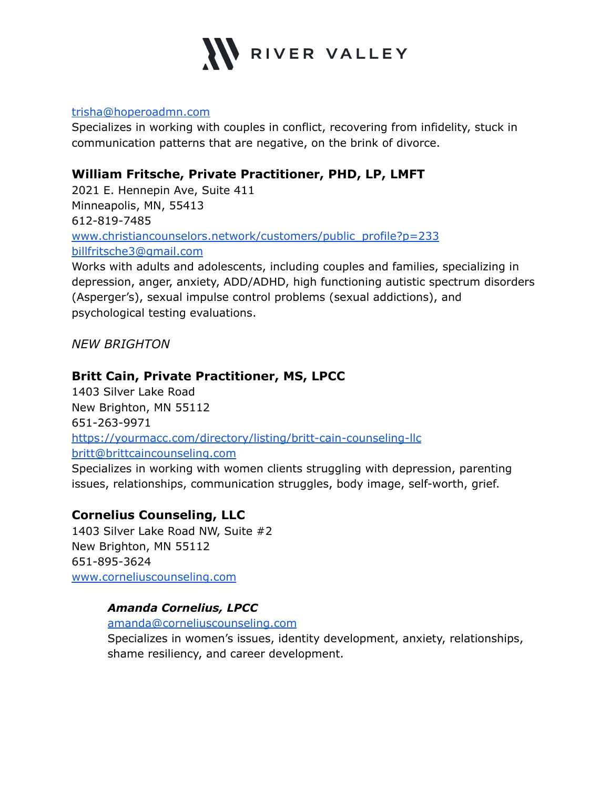

#### [trisha@hoperoadmn.com](mailto:trisha@hoperoadmn.com)

Specializes in working with couples in conflict, recovering from infidelity, stuck in communication patterns that are negative, on the brink of divorce.

## **William Fritsche, Private Practitioner, PHD, LP, LMFT**

2021 E. Hennepin Ave, Suite 411 Minneapolis, MN, 55413 612-819-7485 [www.christiancounselors.network/customers/public\\_profile?p=233](http://www.christiancounselors.network/customers/public_profile?p=233) [billfritsche3@gmail.com](mailto:billfritsche3@gmail.com)

Works with adults and adolescents, including couples and families, specializing in depression, anger, anxiety, ADD/ADHD, high functioning autistic spectrum disorders (Asperger's), sexual impulse control problems (sexual addictions), and psychological testing evaluations.

*NEW BRIGHTON*

## **Britt Cain, Private Practitioner, MS, LPCC**

1403 Silver Lake Road New Brighton, MN 55112 651-263-9971 <https://yourmacc.com/directory/listing/britt-cain-counseling-llc> [britt@brittcaincounseling.com](mailto:britt@brittcaincounseling.com)

Specializes in working with women clients struggling with depression, parenting issues, relationships, communication struggles, body image, self-worth, grief.

## **Cornelius Counseling, LLC**

1403 Silver Lake Road NW, Suite #2 New Brighton, MN 55112 651-895-3624 [www.corneliuscounseling.com](http://www.corneliuscounseling.com)

## *Amanda Cornelius, LPCC*

[amanda@corneliuscounseling.com](mailto:amanda@corneliuscounseling.com)

Specializes in women's issues, identity development, anxiety, relationships, shame resiliency, and career development.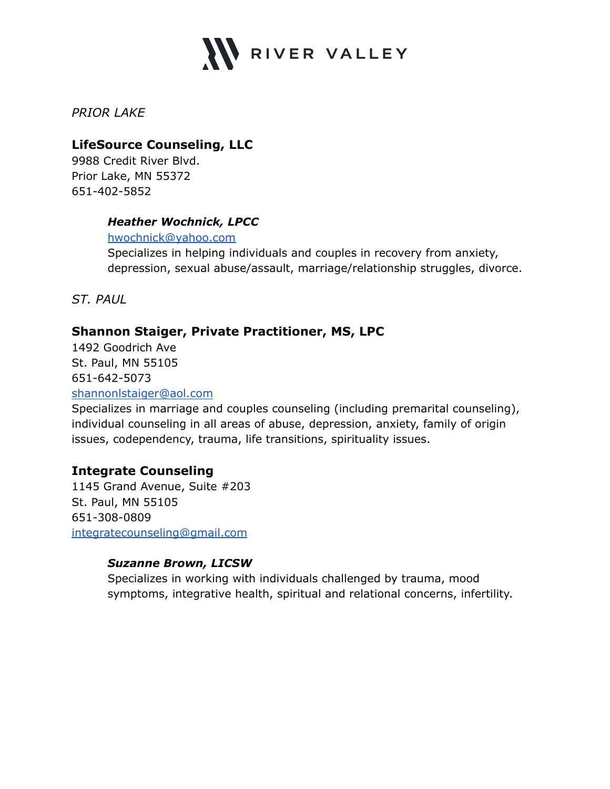

*PRIOR LAKE*

## **LifeSource Counseling, LLC**

9988 Credit River Blvd. Prior Lake, MN 55372 651-402-5852

## *Heather Wochnick, LPCC*

[hwochnick@yahoo.com](mailto:hwochnick@yahoo.com)

Specializes in helping individuals and couples in recovery from anxiety, depression, sexual abuse/assault, marriage/relationship struggles, divorce.

*ST. PAUL*

## **Shannon Staiger, Private Practitioner, MS, LPC**

1492 Goodrich Ave St. Paul, MN 55105 651-642-5073

#### [shannonlstaiger@aol.com](mailto:shannonlstaiger@aol.com)

Specializes in marriage and couples counseling (including premarital counseling), individual counseling in all areas of abuse, depression, anxiety, family of origin issues, codependency, trauma, life transitions, spirituality issues.

## **Integrate Counseling**

1145 Grand Avenue, Suite #203 St. Paul, MN 55105 651-308-0809 [integratecounseling@gmail.com](mailto:integratecounseling@gmail.com)

## *Suzanne Brown, LICSW*

Specializes in working with individuals challenged by trauma, mood symptoms, integrative health, spiritual and relational concerns, infertility.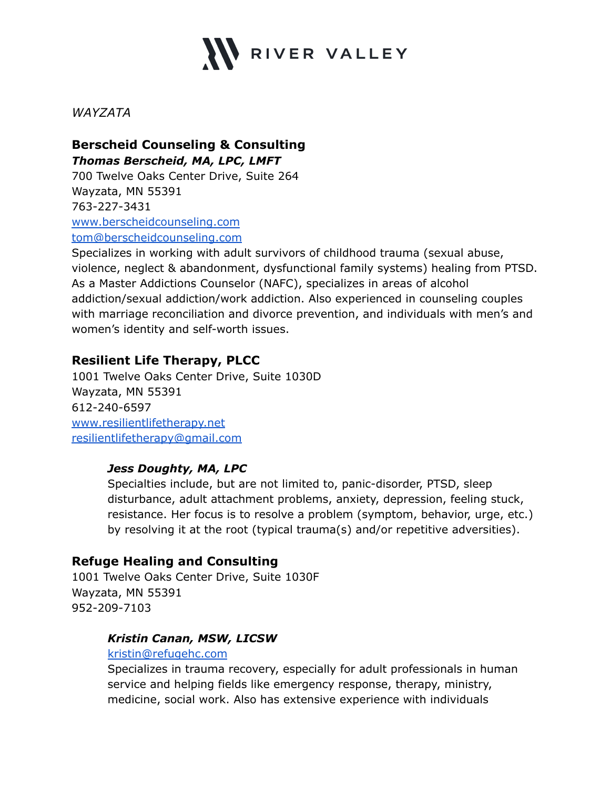

*WAYZATA*

## **Berscheid Counseling & Consulting** *Thomas Berscheid, MA, LPC, LMFT*

700 Twelve Oaks Center Drive, Suite 264 Wayzata, MN 55391 763-227-3431 [www.berscheidcounseling.com](http://www.berscheidcounseling.com) [tom@berscheidcounseling.com](mailto:tom@berscheidcounseling.com)

Specializes in working with adult survivors of childhood trauma (sexual abuse, violence, neglect & abandonment, dysfunctional family systems) healing from PTSD. As a Master Addictions Counselor (NAFC), specializes in areas of alcohol addiction/sexual addiction/work addiction. Also experienced in counseling couples with marriage reconciliation and divorce prevention, and individuals with men's and women's identity and self-worth issues.

## **Resilient Life Therapy, PLCC**

1001 Twelve Oaks Center Drive, Suite 1030D Wayzata, MN 55391 612-240-6597 [www.resilientlifetherapy.net](http://www.resilientlifetherapy.net) [resilientlifetherapy@gmail.com](mailto:resilientlifetherapy@gmail.com)

## *Jess Doughty, MA, LPC*

Specialties include, but are not limited to, panic-disorder, PTSD, sleep disturbance, adult attachment problems, anxiety, depression, feeling stuck, resistance. Her focus is to resolve a problem (symptom, behavior, urge, etc.) by resolving it at the root (typical trauma(s) and/or repetitive adversities).

## **Refuge Healing and Consulting**

1001 Twelve Oaks Center Drive, Suite 1030F Wayzata, MN 55391 952-209-7103

## *Kristin Canan, MSW, LICSW*

#### [kristin@refugehc.com](mailto:kristin@refugehc.com)

Specializes in trauma recovery, especially for adult professionals in human service and helping fields like emergency response, therapy, ministry, medicine, social work. Also has extensive experience with individuals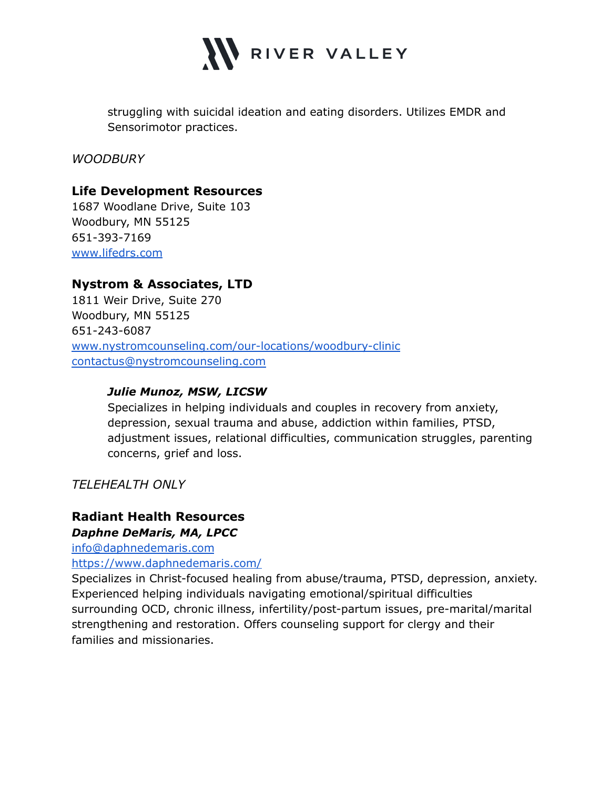

struggling with suicidal ideation and eating disorders. Utilizes EMDR and Sensorimotor practices.

*WOODBURY*

## **Life Development Resources**

1687 Woodlane Drive, Suite 103 Woodbury, MN 55125 651-393-7169 [www.lifedrs.com](http://www.lifedrs.com)

## **Nystrom & Associates, LTD**

1811 Weir Drive, Suite 270 Woodbury, MN 55125 651-243-6087 [www.nystromcounseling.com/our-locations/woodbury-clinic](http://www.nystromcounseling.com/our-locations/woodbury-clinic) [contactus@nystromcounseling.com](mailto:contactus@nystromcounseling.com)

#### *Julie Munoz, MSW, LICSW*

Specializes in helping individuals and couples in recovery from anxiety, depression, sexual trauma and abuse, addiction within families, PTSD, adjustment issues, relational difficulties, communication struggles, parenting concerns, grief and loss.

*TELEHEALTH ONLY*

## **Radiant Health Resources** *Daphne DeMaris, MA, LPCC*

[info@daphnedemaris.com](mailto:info@daphnedemaris.com)

<https://www.daphnedemaris.com/>

Specializes in Christ-focused healing from abuse/trauma, PTSD, depression, anxiety. Experienced helping individuals navigating emotional/spiritual difficulties surrounding OCD, chronic illness, infertility/post-partum issues, pre-marital/marital strengthening and restoration. Offers counseling support for clergy and their families and missionaries.